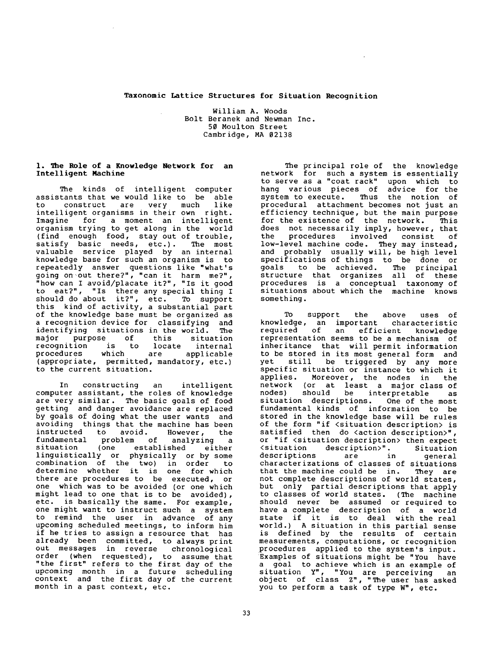### Taxonomic Lattice Structures for Situation **Recognition**

William A. Woods Bolt Beranek and Newman Inc. 50 Moulton Street Cambridge, MA 02138

### I. The Role of a Knowledge Network for an Intelligent **Machine**

The kinds of intelligent computer assistants that we would like to be able<br>to construct are very much like to construct are very much like intelligent organisms in their own right. for a moment an intelligent organism trying to get along in the world (find enough food, stay out of trouble,<br>satisfy basic needs, etc.). The most satisfy basic needs, etc.). valuable service played by an internal knowledge base for such an organism is to repeatedly answer questions like "what's going on out there?", "can it harm me?", "how can I avoid/placate it?", "Is it good to eat?", "Is there any special thing I should do about it?", etc. To support this kind of activity, a substantial part of the knowledge base must be organized as a recognition device for classifying and identifying situations in the world. The major purpose of this situation<br>recognition is to locate internal recognition is to locate internal<br>procedures which are applicable procedures which are applicable (appropriate, permitted, mandatory, etc.) to the current situation.

In constructing an intelligent computer assistant, the roles of knowledge are very similar. The basic goals of food getting and danger avoidance are replaced by goals of doing what the user wants and avoiding things that the machine has been<br>instructed to avoid. However, the instructed to avoid. However, the<br>fundamental problem of analyzing a problem of analyzing a situation (one established either linguistically or physically or by some combination of the two) in order to determine whether it is one for which there are procedures to be executed, or one which was to be avoided (or one which might lead to one that is to be avoided), etc. is basically the same. For example, one might want to instruct such a system to remind the user in advance of any upcoming scheduled meetings, to inform him if he tries to assign a resource that has already been committed, to always print out messages in reverse chronological order (when requested), to assume that "the first" refers to the first day of the upcoming month in a future scheduling context and the first day of the current month in a past context, etc.

The principal role of the knowledge network for such a system is essentially to serve as a "coat rack" upon which to hang various pieces of advice for the system to execute. Thus the notion of procedural attachment becomes not just an efficiency technique, but the main purpose for the existence of the network. This does not necessarily imply, however, that the procedures involved consist of low-level machine code. They may instead, and probably usually will, be high level specifications of things to be done or goals to be achieved. The principal structure that organizes all of these procedures is a conceptual taxonomy of situations about which the machine knows something.

TO support the above uses of knowledge, an important characteristic required of an efficient knowledge representation seems to be a mechanism of inheritance that will permit information to be stored in its most general form and yet still be triggered by any more specific situation or instance to which it<br>applies. Moreover, the nodes in the Moreover, the nodes in the network (or at least a major class of nodes) should be interpretable as situation descriptions. One of the most fundamental kinds of information to be stored in the knowledge base will be rules of the form "if <situation description> is satisfied then do <action description>", or "if <situation description> then expect <situation description>". Situation descriptions are in general characterizations of classes of situations that the machine could be in. They are not complete descriptions of world states, but only partial descriptions that apply to classes of world states. (The machine should never be assumed or required to have a complete description of a world state if it is to deal with the real world.) A situation in this partial sense is defined by the results of certain measurements, computations, or recognition procedures applied to the system's input. Examples of situations might be "You have a goal to achieve which is an example of situation Y", "You are perceiving an object of class Z", "The user has asked you to perform a task of type W", etc.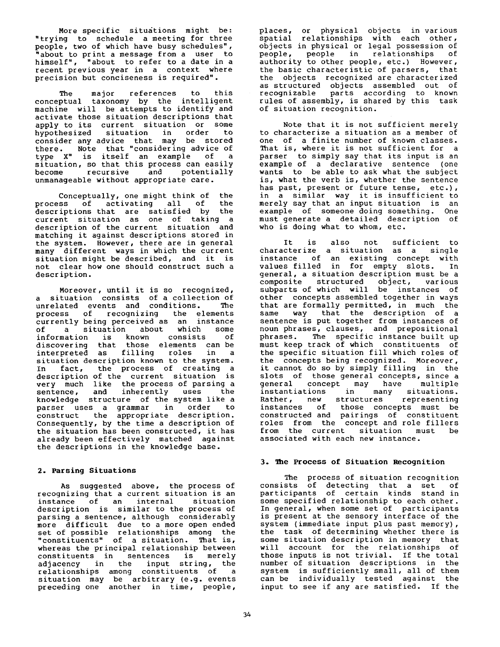More specific situations might be: "trying to schedule a meeting for three people, two of which have busy schedules", "about to print a message from a user to himself", "about to refer to a date in a recent previous year in a context where precision but conciseness is required".

The major references to this conceptual taxonomy by the intelligent machine will be attempts to identify and activate those situation descriptions that apply to its current situation or some hypothesized situation in order to consider any advice that may be stored there. Note that "considering advice of type X" is itself an example of a situation, so that this process can easily become recursive and potentially unmanageable without appropriate care.

Conceptually, one might think of the process of activating all of the descriptions that are satisfied by the current situation as one of taking a description of the current situation and matching it against descriptions stored in the system. However, there are in general many different ways in which the current situation might be described, and it is not clear how one should construct such a description.

Moreover, until it is so recognized, a situation consists of a collection of unrelated events and conditions. The process of recognizing the elements currently being perceived as an instance<br>of a situation about which some of a situation about which information is known consists of discovering that those elements can be interpreted as filling roles in a situation description known to the system. In fact, the process of creating a description of the current situation is very much like the process of parsing a sentence, and inherently uses the knowledge structure of the system like a parser uses a grammar in order to<br>construct the appropriate description. the appropriate description. Consequently, by the time a description of the situation has been constructed, it has already been effectively matched against the descriptions in the knowledge base.

# **2. Parsing Situations**

As suggested above, the process of recognizing that a current situation is an instance of an internal situation description is similar to the process of parsing a sentence, although considerably more difficult due to a more open ended set of possible relationships among the "constituents" of a situation. That is, whereas the principal relationship between constituents in sentences is merely adjacency in the input string, the relationships among constituents of a situation may be arbitrary (e.g. events preceding one another in time, people,

places, or physical objects in various spatial relationships with each other, objects in physical or legal possession of<br>people, people in relationships of people, people in authority to other people, etc.) However, the basic characteristic of parsers, that the objects recognized are characterized as structured objects assembled out of recognizable parts according to known rules of assembly, is shared by this task of situation recognition.

Note that it is not sufficient merely to characterize a situation as a member of one of a finite number of known classes. That is, where it is not sufficient for a parser to simply say that its input is an example of a declarative sentence (one wants to be able to ask what the subject is, what the verb is, whether the sentence has past, present or future tense, etc.), in a similar way it is insufficient to merely say that an input situation is an example of someone doing something. One must generate a detailed description of who is doing what to whom, etc.

It is also not sufficient to characterize a situation as a single instance of an existing concept with values filled in for empty slots. In general, a situation description must be a composite structured object, various subparts of which will be instances of other concepts assembled together in ways that are formally permitted, in much the same way that the description of a sentence is put together from instances of noun phrases, clauses, and prepositional phrases. The specific instance built up must keep track of which constituents of the specific situation fill which roles of the concepts being recognized. Moreover, it cannot do so by simply filling in the slots of those general concepts, since a general concept may have multiple<br>instantiations in many situations. in many situations.<br>structures representing Rather, new structures representing instances of those concepts must be constructed and pairings of constituent roles from the concept and role fillers from the current situation must be associated with each new instance.

## 3. **~he Process of Situation Recognition**

The process of situation recognition consists of detecting that a set of participants of certain kinds stand in some specified relationship to each other. In general, when some set of participants is present at the sensory interface of the system (immediate input plus past memory), the task of determining whether there is some situation description in memory that will account for the relationships of those inputs is not trivial. If the total number of situation descriptions in the system is sufficiently small, all of them can be individually tested against the input to see if any are satisfied. If the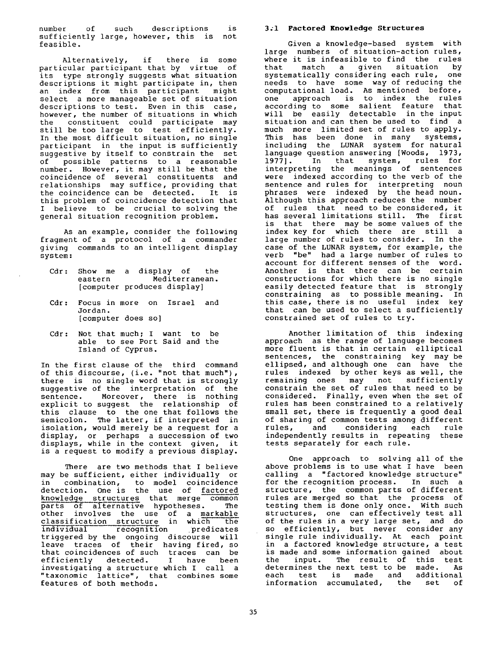number of such descriptions is sufficiently large, however, this is not feasible.

Alternatively, if there is some particular participant that by virtue of its type strongly suggests what situation descriptions it might participate in, then an index from this participant might select a more manageable set of situation descriptions to test. Even in this case, however, the number of situations in which the constituent could participate may still be too large to test efficiently. In the most difficult situation, no single participant in the input is sufficiently suggestive by itself to constrain the set of possible patterns to a reasonable number. However, it may still be that the coincidence of several constituents and relationships may suffice, providing that the coincidence can be detected. It is this problem of coincidence detection that I believe to be crucial to solving the general situation recognition problem.

As an example, consider the following fragment of a protocol of a commander giving commands to an intelligent display system:

- Cdr: Show me a display of the<br>eastern Mediterranean. Mediterranean. [computer produces display]
- Cdr: Focus in more on Israel and Jordan. [computer does so]
- Cdr: Not that much; I want to be able to see Port Said and the Island of Cyprus.

In the first clause of the third command of this discourse, (i.e. "not that much"), there is no single word that is strongly suggestive of the interpretation of the sentence. Moreover, there is nothing explicit to suggest the relationship of this clause to the one that follows the semicolon. The latter, if interpreted in isolation, would merely be a request for a display, or perhaps a succession of two displays, while in the context given, it is a request to modify a previous display.

There are two methods that I believe may be sufficient, either individually or in combination, to model coincidence detection. One is the use of factored knowledge structures that merge common parts of alternative hypotheses. The<br>other involves the use of a markable other involves the use of a markable classification structure in which the individual recognition predicates triggered by the ongoing discourse will leave traces of their having fired, so that coincidences of such traces can be efficiently detected. I have been investigating a structure which I call a "taxonomic lattice", that combines some features of both methods.

## **3;1 Factored Knowledge Structures**

Given a knowledge-based system with large numbers of situation-action rules, where it is infeasible to find the rules<br>that match a given situation by match a given situation systematically considering each rule, one needs to have some way of reducing the computational load. As mentioned before, one approach is to index the rules according to some salient feature that will be easily detectable in the input situation and can then be used to find a much more limited set of rules to apply. This has been done in many systems, including the LUNAR system for natural language question answering [Woods, 1973, 1977]. In that system, rules for interpreting the meanings of sentences were indexed according to the verb of the sentence and rules for interpreting noun phrases were indexed by the head noun. Although this approach reduces the number of rules that need to be considered, it has several limitations still. The first is that there may be some values of the index key for which there are still a large number of rules to consider. In the case of the LUNAR system, for example, the verb "be" had a large number of rules to account for different senses of the word. Another is that there can be certain constructions for which there is no single easily detected feature that is strongly constraining as to possible meaning. In this case, there is no useful index key that can be used to select a sufficiently constrained set of rules to try.

Another limitation of this indexing approach as the range of language becomes more fluent is that in certain elliptical sentences, the constraining key may be ellipsed, and although one can have the rules indexed by other keys as well, the remaining ones may not sufficiently constrain the set of rules that need to be considered. Finally, even when the set of rules has been constrained to a relatively small set, there is frequently a good deal of sharing of common tests among different<br>rules, and considering each rule considering each independently results in repeating these tests separately for each rule.

One approach to solving all of the above problems is to use what I have been calling a "factored knowledge structure" for the recognition process. In such a structure, the common parts of different rules are merged so that the process of testing them is done only once. With such structures, one can effectively test all of the rules in a very large set, and do so efficiently, but never consider any single rule individually. At each point in a factored knowledge structure, a test is made and some information gained about the input. The result of this test determines the next test to be made. As each test is made and additional information accumulated, the set of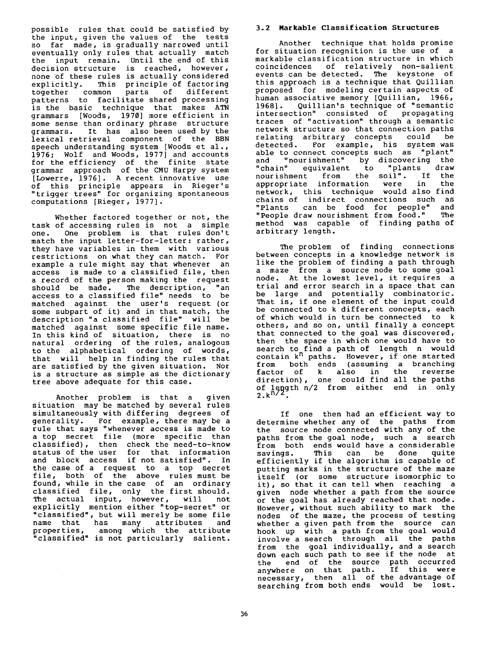possible rules that could be satisfied by the input, given the values of the tests so far made, is gradually narrowed until eventually only rules that actually match the input remain. Until the end of this decision structure is reached, however, none of these rules is actually considered explicitly. This principle of factoring together common parts of different patterns to facilitate shared processing is the basic technique that makes ATN grammars [Woods, 1970] more efficient in some sense than ordinary phrase structure grammars. It has also been used by the lexical retrieval component of the BBN speech understanding system [Woods et al., 1976; Wolf and Woods, 1977] and accounts for the efficiency of the finite state grammar approach of the CMU Harpy system [Lowerre, 1976]. A recent innovative use of this principle appears in Rieger's "trigger trees" for organizing spontaneous computations [Rieger, 1977].

Whether factored together or not, the task of accessing rules is not a simple<br>one. One problem is that rules don't one. One problem is that rules don't match the input letter-for-letter: rather, they have variables in them with various restrictions on what they can match. For example a rule might say that whenever an access is made to a classified file, then a record of the person making the request<br>should be made. The description, "an The description, "an access to a classified file" needs to be matched against the user's request (or some subpart of it) and in that match, the description "a classified file" will be matched against some specific file name. In this kind of situation, there is no natural ordering of the rules, analogous to the alphabetical ordering of words, that will help in finding the rules that are satisfied by the given situation. Nor is a structure as simple as the dictionary tree above adequate for this case.

Another problem is that a given situation may be matched by several rules simultaneously with differing degrees of generality. For example, there may be a rule that says "whenever access is made to a top secret file (more specific than classified), then check the need-to-know status of the user for that information and block access if not satisfied". In the case of a request to a top secret file, both of the above rules must be found, while in the case of an ordinary classified file, only the first should. The actual input, however, will not explicitly mention either "top-secret" or "classified", but will merely be some file name that has many attributes and properties, among which the attribute "classified" is not particularly salient.

## 3.2 Markable Classification Structures

Another technique that holds promise for situation recognition is the use of a markable classification structure in which coincidences of relatively non-salient events can be detected. The keystone of this approach is a technique that Quillian proposed for modeling certain aspects of human associative memory [Quillian, 1966, 1968]. Quillian's technique of "semantic intersection" consisted of propagating traces of "activation" through a semantic network structure so that connection paths relating arbitrary concepts could be detected. For example, his system was able to connect concepts such as "plant"<br>and "nourishment" by discovering the and "nourishment" by discovering the<br>"chain" equivalent to "plants draw equivalent to "plants draw nourishment from the soil". If the<br>appropriate information were in the appropriate information were in the network, this technique would also find chains of indirect connections such as "Plants can be food for people" and "People draw nourishment from food." The method was capable of finding paths of arbitrary length.

The problem of finding connections between concepts in a knowledge network is like the problem of finding a path through a maze from a source node to some goal node. At the lowest level, it requires a trial and error search in a space that can be large and potentially combinatoric. That is, if one element of the input could be connected to k different concepts, each of which would in turn be connected to k others, and so on, until finally a concept that connected to the goal was discovered, then the space in which one would have to search to find a path of length n would search to find a path of  $\frac{1}{2}$  contain  $k^n$  paths. However, if one started from both ends (assuming a branching factor of k also in the reverse direction), one could find all the paths of length n/2 from either end in only 2.k<sup>n/2</sup>.

If one then had an efficient way to determine whether any of the paths from the source node connected with any of the paths from the goal node, such a search from both ends would have a considerable<br>savings. This can be done quite savings. This can be done quite efficiently if the algorithm is capable of putting marks in the structure of the maze itself (or some structure isomorphic to it), so that it can tell when reaching a given node whether a path from the source or the goal has already reached that node. However, without such ability to mark the nodes of the maze, the process of testing whether a given path from the source can hook up with a path from the goal would involve a search through all the paths from the goal individually, and a search down each such path to see if the node at the end of the source path occurred anywhere on that path. If this were necessary, then all of the advantage of searching from both ends would be lost.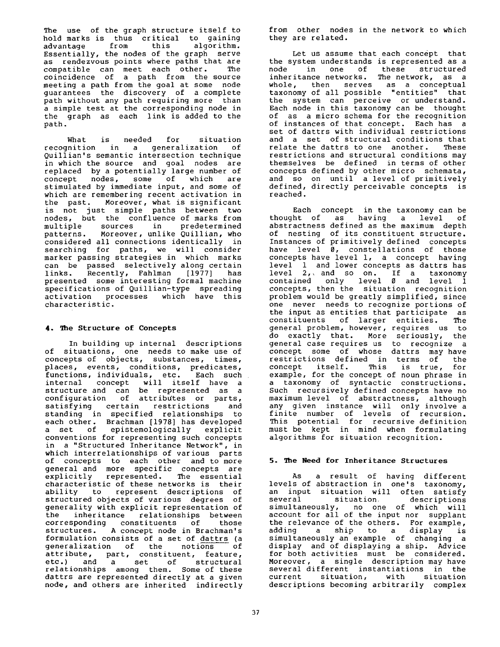The use of the graph structure itself to hold marks is thus critical to gaining<br>advantage from this algorithm. advantage from Essentially, the nodes of the graph serve as rendezvous points where paths that are compatible can meet each other. The coincidence of a path from the source meeting a path from the goal at some node guarantees the discovery of a complete path without any path requiring more than a simple test at the corresponding node in the graph as each link is added to the path.

What is needed for situation<br>inition in a generalization of recognition in a generalization Quillian's semantic intersection technique in which the source and goal nodes are replaced by a potentially large number of concept nodes, some of which are stimulated by immediate input, and some of which are remembering recent activation in the past. Moreover, what is significant is not just simple paths between two nodes, but the confluence of marks from multiple sources in predetermined<br>patterns. Moreover, unlike-Quillian, who Moreover, unlike Quillian, who considered all connections identically in searching for paths, we will consider marker passing strategies in which marks can be passed selectively along certain links. Recently, Fahlman [1977] has presented some interesting formal machine specifications of Quillian-type spreading activation processes which have this characteristic.

# 4. The Structure of Concepts

In building up internal descriptions of situations, one needs to make use of concepts of objects, substances, times, places, events, conditions, predicates, functions, individuals, etc. Each such internal concept will itself have a structure and can be represented as a configuration of attributes or parts, satisfying certain restrictions and standing in specified relationships to each other. Brachman [1978] has developed a set of epistemologically explicit conventions for representing such concepts in a "Structured Inheritance Network", in which interrelationships of various parts of concepts to each other and to more general and more specific concepts are explicitly represented. The essential characteristic of these networks is their ability to represent descriptions of structured objects of various degrees of generality with explicit representation of the inheritance relationships between corresponding constituents of those structures. A concept node in Brachman's formulation consists of a set of dattrs (a generalization of the notions of attribute, part, constituent, feature, etc.) and a set of structural relationships among them. Some of these dattrs are represented directly at a given node, and others are inherited indirectly

from other nodes in the network to which they are related.

Let us assume that each concept that the system understands is represented as a node in one of these structured inheritance networks. The network, as a whole, then serves as a conceptual taxonomy of all possible "entities" that the system can perceive or understand. Each node in this taxonomy can be thought of as a micro schema for the recognition of instances of that concept. Each has a set of dattrs with individual restrictions and a set of structural conditions that relate the dattrs to one another. These restrictions and structural conditions may themselves be defined in terms of other concepts defined by other micro schemata, and so on until a level of primitively defined, directly perceivable concepts is reached.

Each concept in the taxonomy can be thought of as having a level of abstractness defined as the maximum depth of nesting of its constituent structure. Instances of primitively defined concepts have level 0, constellations of those concepts have level i, a concept having level 1 and lower concepts as dattrs has level 2,, and so on. If a taxonomy contained only level 0 and level 1 concepts, then the situation recognition problem would be greatly simplified, since one never needs to recognize portions of the input as entities that participate as constituents of larger entities. The general problem, however, requires us to do exactly that. More seriously, the general case requires us to recognize a concept some of whose dattrs may have restrictions defined in terms of the concept itself. This is true, for example, for the concept of noun phrase in a taxonomy of syntactic constructions. Such recursively defined concepts have no maximum level of abstractness, although any given instance will only involve a finite number of levels of recursion. This potential for recursive definition must be kept in mind when formulating algorithms for situation recognition.

# **5. The Need for Inheritance Structures**

AS a result of having different levels of abstraction in one's taxonomy, an input situation will often satisfy several situation, descriptions simultaneously, no one of which will account for all of the input nor supplant the relevance of the others. For example, adding a ship to a display is simultaneously an example of changing a display and of displaying a ship. Advice for both activities must be considered. Moreover, a single description may have several different instantiations in the current situation, with situation descriptions becoming arbitrarily complex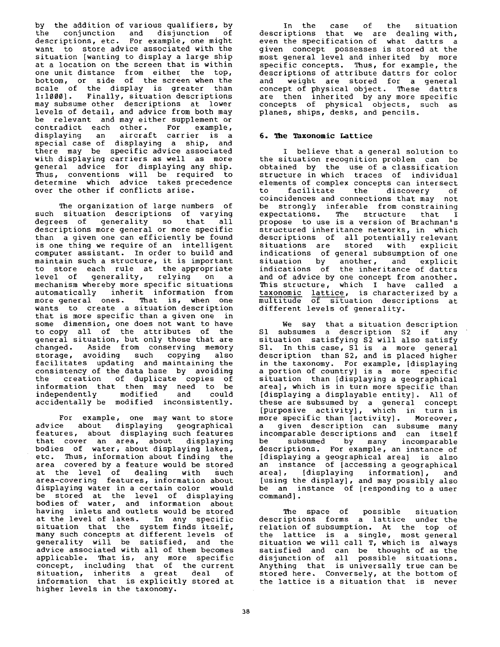by the addition of various qualifiers, by the conjunction and disjunction of descriptions, etc. For example, one might want to store advice associated with the situation [wanting to display a large ship at a location on the screen that is within one unit distance from either the top, bottom, or side of the screen when the scale of the display is greater than 1:1000]. Finally, situation descriptions may subsume other descriptions at lower levels of detail, and advice from both may be relevant and may either supplement or<br>contradict each other. For example, contradict each other. displaying an aircraft carrier is a special case of displaying a ship, and there may be specific advice associated with displaying carriers as well as more general advice for displaying any ship. Thus, conventions will be required to determine which advice takes precedence over the other if conflicts arise.

The organization of large numbers of such situation descriptions of varying degrees of generality so that all descriptions more general or more specific than a given one can efficiently be found is one thing we require of an intelligent computer assistant. In order to build and maintain such a structure, it is important to store each rule at the appropriate level of generality, relying on a mechanism whereby more specific situations automatically inherit information from more general ones. That is, when one wants to create a situation description that is more specific than a given one in some dimension, one does not want to have to copy all of the attributes of the general situation, but only those that are changed. Aside from conserving memory storage, avoiding such copying also facilitates updating and maintaining the consistency of the data base by avoiding the creation of duplicate copies of information that then may need to be<br>independently modified and could independently accidentally be modified inconsistently.

For example, one may want to store advice about displaying geographical features, about displaying such features that cover an area, about displaying bodies of water, about displaying lakes, etc. Thus, information about finding the area covered by a feature would be stored at the level of dealing with such area-covering features, information about displaying water in a certain color would be stored at the level of displaying bodies of water, and information about having inlets and outlets would be stored at the level of lakes. In any specific situation that the system finds itself, many such concepts at different levels of generality will be satisfied, and the advice associated with all of them becomes applicable. That is, any more specific concept, including that of the current situation, inherits a great deal of information that is explicitly stored at higher levels in the taxonomy.

In the case of the situation descriptions that we are dealing with, even the specification of what dattrs a given concept possesses is stored at the most general level and inherited by more specific concepts. Thus, for example, the descriptions of attribute dattrs for color and weight are stored for a general concept of physical object. These dattrs are then inherited by any more specific concepts of physical objects, such as planes, ships, desks, and pencils.

# 6. The Taxonomic Lattice

I believe that a general solution to the situation recognition problem can be obtained by the use of a classification structure in which traces of individual elements of complex concepts can intersect<br>to facilitate the discovery of facilitate the discovery of coincidences and connections that may not be strongly inferable from constraining expectations. The structure that I propose to use is a version of Brachman's structured inheritance networks, in which descriptions of all potentially relevant situations are stored with explicit indications of general subsumption of one<br>situation by another, and explicit another, and explicit indications of the inheritance of dattrs and of advice by one concept from another. This structure, which I have called a taxonomic lattice, is characterized by a multitude of situation descriptions at different levels of generality.

We say that a situation description Sl subsumes a description \$2 if any situation satisfying \$2 will also satisfy S1. In this case, S1 is a more general description than \$2, and is placed higher in the taxonomy. For example, [displaying a portion of country] is a more specific situation than [displaying a geographical area], which is in turn more specific than [displaying a displayable entity]. All of these are subsumed by a general concept [purposive activity], which in turn is more specific than [activity]. Moreover, a given description can subsume many incomparable descriptions and can itself be subsumed by many incomparable descriptions. For example, an instance of [displaying a geographical area] is also an instance of [accessing a geographical area], [displaying information], and [using the display], and may possibly also be an instance of [responding to a user command].

The space of possible situation descriptions forms a lattice under the relation of subsumption. At the top of the lattice is a single, most general situation we will call T, which is always satisfied and can be thought of as the disjunction of all possible situations. Anything that is universally true can be stored here. Conversely, at the bottom of the lattice is a situation that is never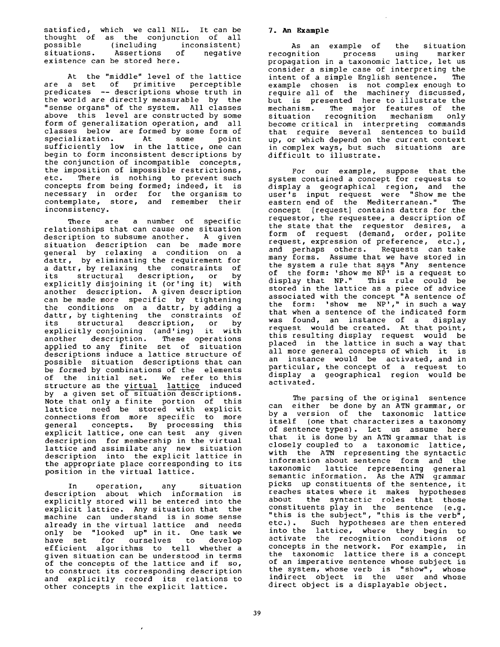satisfied, which we call NIL. It can be thought of as the conjunction of all possible (including inconsistent) situations. Assertions of negative existence can be stored here.

At the "middle" level of the lattice are a set of primitive perceptible predicates -- descriptions whose truth in the world are directly measurable by the "sense organs" of the system. All classes above this level are constructed by some form of generalization operation, and all classes below are formed by some form of<br>specialization. At some point specialization. At some point sufficiently low in the lattice, one can begin to form inconsistent descriptions by the conjunction of incompatible concepts, the imposition of impossible restrictions, etc. There is nothing to prevent such concepts from being formed; indeed, it is necessary in order for the organism to contemplate, store, and remember their inconsistency.

There are a number of specific relationships that can cause one situation<br>description to subsume another. A given description to subsume another. situation description can be made more general by relaxing a condition on a dattr, by eliminating the requirement for a dattr, by relaxing the constraints of its structural description, or by explicitly disjoining it (or'ing it) with another description. A given description can be made more specific by tightening the conditions on a dattr, by adding a dattr, by tightening the constraints of its structural description, or by explicitly conjoining (and'ing) it with another description. These operations applied to any finite set of situation descriptions induce a lattice structure of possible situation descriptions that can be formed by combinations of the elements of the initial set. We refer to this structure as the virtual lattice induced by a given set of situation descriptions. Note that only a finite portion of this lattice need be stored with explicit connections from more specific to more general concepts. By processing this explicit lattice, one can test any given description for membership in the virtual lattice and assimilate any new situation description into the explicit lattice in the appropriate place corresponding to its position in the virtual lattice.

In operation, any situation description about which information is explicitly stored will be entered into the explicit lattice. Any situation that the machine can understand is in some sense already in the virtual lattice and needs only be "looked up" in it. One task we have set for ourselves to develop efficient algorithms to tell whether a given situation can be understood in terms of the concepts of the lattice and if so, to construct its corresponding description and explicitly record its relations to other concepts in the explicit lattice.

# **7. An Example**

As an example of the situation<br>nition process using marker recognition propagation in a taxonomic lattice, let us consider a simple case of interpreting the intent of a simple English sentence. The example chosen is not complex enough to require all of the machinery discussed, but is presented here to illustrate the<br>mechanism. The major features of the mechanism. The major features of the<br>situation recognition mechanism only mechanism only become critical in interpreting commands that require several sentences to build up, or which depend on the current context in complex ways, but such situations are difficult to illustrate.

For our example, suppose that the system contained a concept for requests to display a geographical region, and the user's input request were "Show me the eastern end of the Mediterranean." The concept [request] contains dattrs for the requestor, the requestee, a description of the state that the requestor desires, a form of request (demand, order, polite request, expression of preference, etc.), and perhaps others. Requests can take many forms. Assume that we have stored in the system a rule that says "Any sentence of the form: 'show me NP' is a request to display that NP." This rule could be stored in the lattice as a piece of advice associated with the concept "A sentence of the form: 'show me NP'," in such a way that when a sentence of the indicated form was found, an instance of a display request would be created. At that point, this resulting display request would be placed in the lattice in such a way that all more general concepts of which it is an instance would be activated, and in particular, the concept of a request to display a geographical region would be activated.

The parsing of the original sentence can either be done by an ATN grammar, or by a version of the taxonomic lattice itself (one that characterizes a taxonomy of sentence types). Let us assume here that it is done by an ATN grammar that is closely coupled to a taxonomic lattice, with the ATN representing the syntactic information about sentence form and the taxonomic lattice representing general semantic information. As the ATN grammar picks up constituents of the sentence, it reaches states where it makes hypotheses about the syntactic roles that those constituents play in the sentence (e.g. "this is the subject", "this is the verb", etc.). Such hypotheses are then entered into the lattice, where they begin to activate the recognition conditions of concepts in the network. For example, in the taxonomic lattice there is a concept of an imperative sentence whose subject is the system, whose verb is "show", whose indirect object is the user and whose direct object is a displayable object.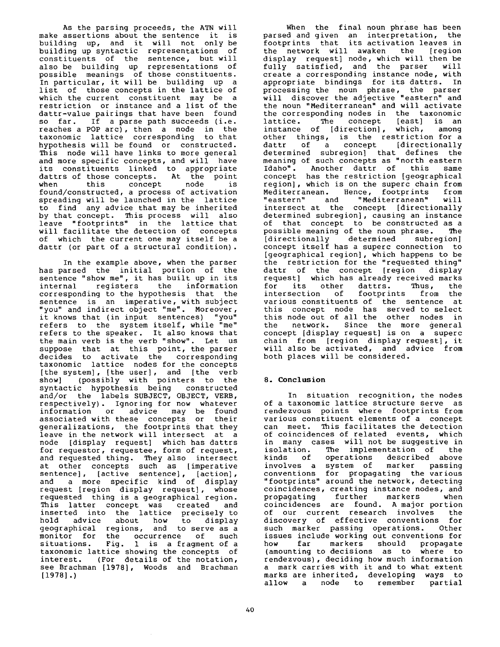As the parsing proceeds, the ATN will make assertions about the sentence it is building up, and it will not only be building up syntactic representations of constituents of the sentence, but will also be building up representations of possible meanings of those constituents. In particular, it will be building up a list of those concepts in the lattice of which the current constituent may be a restriction or instance and a list of the dattr-value pairings that have been found so far. If a parse path succeeds (i.e. reaches a POP arc), then a node in the taxonomic lattice corresponding to that hypothesis will be found or constructed. This node will have links to more general and more specific concepts, and will have its constituents linked to appropriate dattrs of those concepts. At the point when this concept node is found/constructed, a process of activation spreading will be launched in the lattice to find any advice that may be inherited by that concept. This process will also leave "footprints" in the lattice that will facilitate the detection of concepts of which the current one may itself be a dattr (or part of a structural condition).

In the example above, when the parser has parsed the initial portion of the sentence "show me", it has built up in its internal registers the information corresponding to the hypothesis that the sentence is an imperative, with subject "you" and indirect object "me". Moreover, it knows that (in input sentences) "you" refers to the system itself, while "me" refers to the speaker. It also knows that the main verb is the verb "show". Let us suppose that at this point, the parser decides to activate the corresponding taxonomic lattice nodes for the concepts [the system], [the user], and [the verb show] (possibly with pointers to the syntactic hypothesis being constructed and/or the labels SUBJECT, OBJECT, VERB, respectively). Ignoring for now whatever information or advice may be found associated with these concepts or their generalizations, the footprints that they leave in the network will intersect at a node [display request] which has dattrs for requestor, requestee, form of request, and requested thing. They also intersect at other concepts such as [imperative sentence], [active sentence], [action], and a more specific kind of display request [region display request], whose requested thing is a geographical region. This latter concept was created and inserted into the lattice precisely to hold advice about how to display geographical regions, and to serve as a monitor for the occurrence of such situations. Fig. 1 is a fragment of a taxonomic lattice showing the concepts of interest. (For details of the notation, see Brachman [1978], Woods and Brachman [1978].)

parsed and given an interpretation, the footprints that its activation leaves in the network will awaken the [region display request] node, which will then be fully satisfied, and the parser will create a corresponding instance node, with appropriate bindings for its dattrs. In processing the noun phrase, the parser will discover the adjective "eastern" and the noun "Mediterranean" and will activate the corresponding nodes in the taxonomic lattice. The concept [east] is an instance of [direction], which, among other things, is the restriction for a dattr of a concept [directionally determined subregion] that defines the meaning of such concepts as "north eastern Idaho". Another dattr of this same concept has the restriction [geographical region], which is on the superc chain from Mediterranean. Hence, footprints from "eastern" and "Mediterranean" will intersect at the concept [directionally determined subregion], causing an instance of that concept to be constructed as a possible meaning of the noun phrase. The<br>[directionally determined subregion] [directionally determined concept itself has a superc connection to [geographical region], which happens to be the restriction for the "requested thing" dattr of the concept [region display request) which has already received marks<br>for its other dattrs. Thus, the for its other dattrs. Thus, the<br>intersection of footprints from the intersection of various constituents of the sentence at this concept node has served to select this node out of all the other nodes in the network. Since the more general concept [display request] is on a superc chain from [region display request], it will also be activated, and advice from both places will be considered.

When the final noun phrase has been

# **8. Conclusion**

In situation recognition, the nodes of a taxonomic lattice structure serve as rendezvous points where footprints from various constituent elements of a concept can meet. This facilitates the detection of coincidences of related events, which in many cases will not be suggestive in<br>isolation. The implementation of the isolation. The implementation of the<br>kinds of operations described above described above involves a system of marker passing conventions for propagating the various "footprints" around the network, detecting coincidences, creating instance nodes, and propagating further markers when coincidences are found. A major portion of our current research involves the discovery of effective conventions for such marker passing operations. Other issues include working out conventions for how far markers should propagate (amounting to decisions as to where to rendezvous), deciding how much information a mark carries with it and to what extent marks are inherited, developing ways to<br>allow a node to remember partial allow a node to remember partial